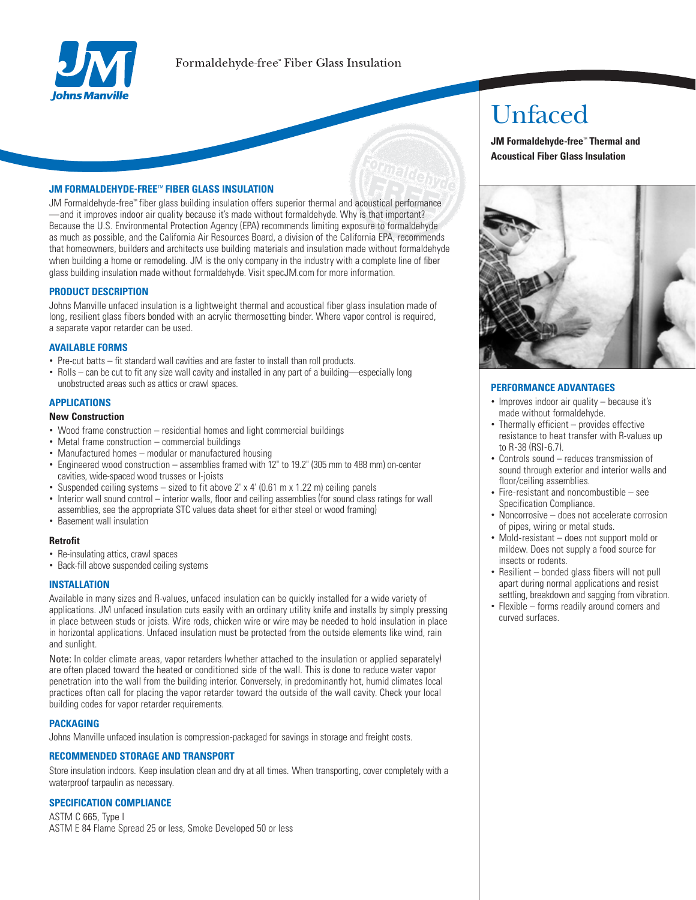

## **JM FORMALDEHYDE-FREE™ FIBER GLASS INSULATION**

JM Formaldehyde-free" fiber glass building insulation offers superior thermal and acoustical performance -and it improves indoor air quality because it's made without formaldehyde. Why is that important? Because the U.S. Environmental Protection Agency (EPA) recommends limiting exposure to formaldehyde as much as possible, and the California Air Resources Board, a division of the California EPA, recommends that homeowners, builders and architects use building materials and insulation made without formaldehyde when building a home or remodeling. JM is the only company in the industry with a complete line of fiber glass building insulation made without formaldehyde. Visit specJM.com for more information.

#### **PRODUCT DESCRIPTION**

Johns Manville unfaced insulation is a lightweight thermal and acoustical fiber glass insulation made of long, resilient glass fibers bonded with an acrylic thermosetting binder. Where vapor control is required, a separate vapor retarder can be used.

## **AVAILABLE FORMS**

- Pre-cut batts fit standard wall cavities and are faster to install than roll products.
- Rolls can be cut to fit any size wall cavity and installed in any part of a building—especially long unobstructed areas such as attics or crawl spaces.

## **APPLICATIONS**

### **New Construction**

- Wood frame construction residential homes and light commercial buildings
- Metal frame construction commercial buildings
- Manufactured homes modular or manufactured housing
- Engineered wood construction assemblies framed with 12" to 19.2" (305 mm to 488 mm) on-center cavities, wide-spaced wood trusses or l-joists
- Suspended ceiling systems sized to fit above 2' x 4' (0.61 m x 1.22 m) ceiling panels
- Interior wall sound control interior walls, floor and ceiling assemblies (for sound class ratings for wall assemblies, see the appropriate STC values data sheet for either steel or wood framing)
- Basement wall insulation

#### **Retrofit**

- Re-insulating attics, crawl spaces
- Back-fill above suspended ceiling systems

#### **INSTALLATION**

Available in many sizes and R-values, unfaced insulation can be quickly installed for a wide variety of applications. JM unfaced insulation cuts easily with an ordinary utility knife and installs by simply pressing in place between studs or joists. Wire rods, chicken wire or wire may be needed to hold insulation in place in horizontal applications. Unfaced insulation must be protected from the outside elements like wind, rain and sunlight.

Note: In colder climate areas, vapor retarders (whether attached to the insulation or applied separately) are often placed toward the heated or conditioned side of the wall. This is done to reduce water vapor penetration into the wall from the building interior. Conversely, in predominantly hot, humid climates local practices often call for placing the vapor retarder toward the outside of the wall cavity. Check your local building codes for vapor retarder requirements.

#### **PACKAGING**

Johns Manville unfaced insulation is compression-packaged for savings in storage and freight costs.

## **RECOMMENDED STORAGE AND TRANSPORT**

Store insulation indoors. Keep insulation clean and dry at all times. When transporting, cover completely with a waterproof tarpaulin as necessary.

#### **SPECIFICATION COMPLIANCE**

ASTM C 665. Type I ASTM E 84 Flame Spread 25 or less. Smoke Developed 50 or less

# Unfaced

JM Formaldehvde-free<sup>\*</sup> Thermal and **Acoustical Fiber Glass Insulation** 



## **PERFORMANCE ADVANTAGES**

- Improves indoor air quality because it's made without formaldehyde.
- Thermally efficient provides effective resistance to heat transfer with R-values up to R-38 (RSI-67)
- Controls sound reduces transmission of sound through exterior and interior walls and floor/ceiling assemblies.
- Fire-resistant and noncombustible see Specification Compliance.
- Noncorrosive does not accelerate corrosion of pipes, wiring or metal studs.
- Mold-resistant does not support mold or mildew. Does not supply a food source for insects or rodents.
- Resilient bonded glass fibers will not pull apart during normal applications and resist settling, breakdown and sagging from vibration.
- Flexible forms readily around corners and curved surfaces.